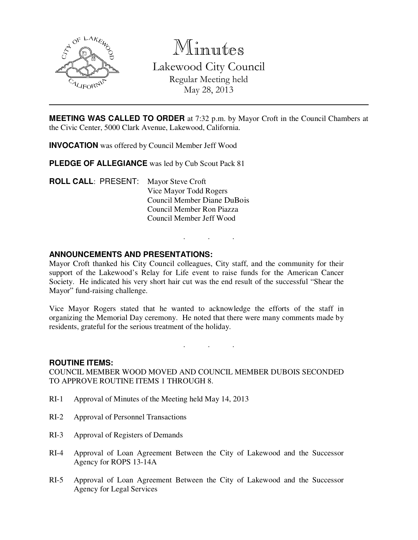

Minutes

Lakewood City Council Regular Meeting held May 28, 2013

**MEETING WAS CALLED TO ORDER** at 7:32 p.m. by Mayor Croft in the Council Chambers at the Civic Center, 5000 Clark Avenue, Lakewood, California.

**INVOCATION** was offered by Council Member Jeff Wood

**PLEDGE OF ALLEGIANCE** was led by Cub Scout Pack 81

**ROLL CALL**: PRESENT: Mayor Steve Croft Vice Mayor Todd Rogers Council Member Diane DuBois Council Member Ron Piazza Council Member Jeff Wood

### **ANNOUNCEMENTS AND PRESENTATIONS:**

Mayor Croft thanked his City Council colleagues, City staff, and the community for their support of the Lakewood's Relay for Life event to raise funds for the American Cancer Society. He indicated his very short hair cut was the end result of the successful "Shear the Mayor" fund-raising challenge.

. . .

Vice Mayor Rogers stated that he wanted to acknowledge the efforts of the staff in organizing the Memorial Day ceremony. He noted that there were many comments made by residents, grateful for the serious treatment of the holiday.

. . .

#### **ROUTINE ITEMS:**

COUNCIL MEMBER WOOD MOVED AND COUNCIL MEMBER DUBOIS SECONDED TO APPROVE ROUTINE ITEMS 1 THROUGH 8.

- RI-1 Approval of Minutes of the Meeting held May 14, 2013
- RI-2 Approval of Personnel Transactions
- RI-3 Approval of Registers of Demands
- RI-4 Approval of Loan Agreement Between the City of Lakewood and the Successor Agency for ROPS 13-14A
- RI-5 Approval of Loan Agreement Between the City of Lakewood and the Successor Agency for Legal Services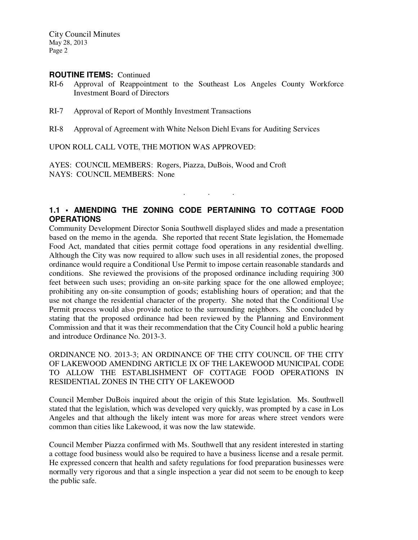City Council Minutes May 28, 2013 Page 2

#### **ROUTINE ITEMS:** Continued

- RI-6 Approval of Reappointment to the Southeast Los Angeles County Workforce Investment Board of Directors
- RI-7 Approval of Report of Monthly Investment Transactions
- RI-8 Approval of Agreement with White Nelson Diehl Evans for Auditing Services

UPON ROLL CALL VOTE, THE MOTION WAS APPROVED:

AYES: COUNCIL MEMBERS: Rogers, Piazza, DuBois, Wood and Croft NAYS: COUNCIL MEMBERS: None

# **1.1 • AMENDING THE ZONING CODE PERTAINING TO COTTAGE FOOD OPERATIONS**

. . .

Community Development Director Sonia Southwell displayed slides and made a presentation based on the memo in the agenda. She reported that recent State legislation, the Homemade Food Act, mandated that cities permit cottage food operations in any residential dwelling. Although the City was now required to allow such uses in all residential zones, the proposed ordinance would require a Conditional Use Permit to impose certain reasonable standards and conditions. She reviewed the provisions of the proposed ordinance including requiring 300 feet between such uses; providing an on-site parking space for the one allowed employee; prohibiting any on-site consumption of goods; establishing hours of operation; and that the use not change the residential character of the property. She noted that the Conditional Use Permit process would also provide notice to the surrounding neighbors. She concluded by stating that the proposed ordinance had been reviewed by the Planning and Environment Commission and that it was their recommendation that the City Council hold a public hearing and introduce Ordinance No. 2013-3.

ORDINANCE NO. 2013-3; AN ORDINANCE OF THE CITY COUNCIL OF THE CITY OF LAKEWOOD AMENDING ARTICLE IX OF THE LAKEWOOD MUNICIPAL CODE TO ALLOW THE ESTABLISHMENT OF COTTAGE FOOD OPERATIONS IN RESIDENTIAL ZONES IN THE CITY OF LAKEWOOD

Council Member DuBois inquired about the origin of this State legislation. Ms. Southwell stated that the legislation, which was developed very quickly, was prompted by a case in Los Angeles and that although the likely intent was more for areas where street vendors were common than cities like Lakewood, it was now the law statewide.

Council Member Piazza confirmed with Ms. Southwell that any resident interested in starting a cottage food business would also be required to have a business license and a resale permit. He expressed concern that health and safety regulations for food preparation businesses were normally very rigorous and that a single inspection a year did not seem to be enough to keep the public safe.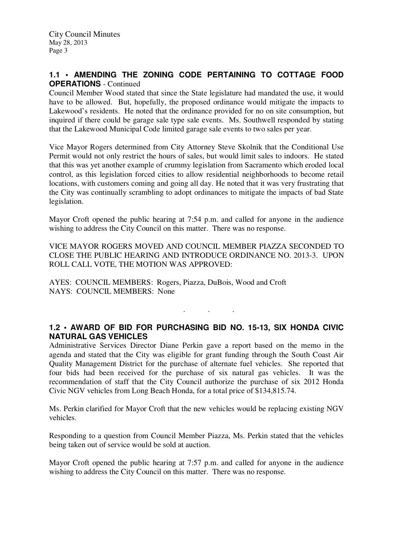## **1.1 • AMENDING THE ZONING CODE PERTAINING TO COTTAGE FOOD OPERATIONS** - Continued

Council Member Wood stated that since the State legislature had mandated the use, it would have to be allowed. But, hopefully, the proposed ordinance would mitigate the impacts to Lakewood's residents. He noted that the ordinance provided for no on site consumption, but inquired if there could be garage sale type sale events. Ms. Southwell responded by stating that the Lakewood Municipal Code limited garage sale events to two sales per year.

Vice Mayor Rogers determined from City Attorney Steve Skolnik that the Conditional Use Permit would not only restrict the hours of sales, but would limit sales to indoors. He stated that this was yet another example of crummy legislation from Sacramento which eroded local control, as this legislation forced cities to allow residential neighborhoods to become retail locations, with customers coming and going all day. He noted that it was very frustrating that the City was continually scrambling to adopt ordinances to mitigate the impacts of bad State legislation.

Mayor Croft opened the public hearing at 7:54 p.m. and called for anyone in the audience wishing to address the City Council on this matter. There was no response.

VICE MAYOR ROGERS MOVED AND COUNCIL MEMBER PIAZZA SECONDED TO CLOSE THE PUBLIC HEARING AND INTRODUCE ORDINANCE NO. 2013-3. UPON ROLL CALL VOTE, THE MOTION WAS APPROVED:

AYES: COUNCIL MEMBERS: Rogers, Piazza, DuBois, Wood and Croft NAYS: COUNCIL MEMBERS: None

### **1.2 • AWARD OF BID FOR PURCHASING BID NO. 15-13, SIX HONDA CIVIC NATURAL GAS VEHICLES**

. . .

Administrative Services Director Diane Perkin gave a report based on the memo in the agenda and stated that the City was eligible for grant funding through the South Coast Air Quality Management District for the purchase of alternate fuel vehicles. She reported that four bids had been received for the purchase of six natural gas vehicles. It was the recommendation of staff that the City Council authorize the purchase of six 2012 Honda Civic NGV vehicles from Long Beach Honda, for a total price of \$134,815.74.

Ms. Perkin clarified for Mayor Croft that the new vehicles would be replacing existing NGV vehicles.

Responding to a question from Council Member Piazza, Ms. Perkin stated that the vehicles being taken out of service would be sold at auction.

Mayor Croft opened the public hearing at 7:57 p.m. and called for anyone in the audience wishing to address the City Council on this matter. There was no response.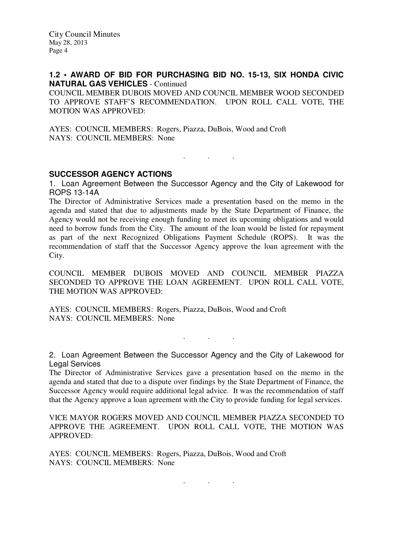### **1.2 • AWARD OF BID FOR PURCHASING BID NO. 15-13, SIX HONDA CIVIC NATURAL GAS VEHICLES** - Continued

COUNCIL MEMBER DUBOIS MOVED AND COUNCIL MEMBER WOOD SECONDED TO APPROVE STAFF'S RECOMMENDATION. UPON ROLL CALL VOTE, THE MOTION WAS APPROVED:

AYES: COUNCIL MEMBERS: Rogers, Piazza, DuBois, Wood and Croft NAYS: COUNCIL MEMBERS: None

**SUCCESSOR AGENCY ACTIONS** 

1. Loan Agreement Between the Successor Agency and the City of Lakewood for ROPS 13-14A

. . .

The Director of Administrative Services made a presentation based on the memo in the agenda and stated that due to adjustments made by the State Department of Finance, the Agency would not be receiving enough funding to meet its upcoming obligations and would need to borrow funds from the City. The amount of the loan would be listed for repayment as part of the next Recognized Obligations Payment Schedule (ROPS). It was the recommendation of staff that the Successor Agency approve the loan agreement with the City.

COUNCIL MEMBER DUBOIS MOVED AND COUNCIL MEMBER PIAZZA SECONDED TO APPROVE THE LOAN AGREEMENT. UPON ROLL CALL VOTE, THE MOTION WAS APPROVED:

AYES: COUNCIL MEMBERS: Rogers, Piazza, DuBois, Wood and Croft NAYS: COUNCIL MEMBERS: None

2. Loan Agreement Between the Successor Agency and the City of Lakewood for Legal Services

. . .

The Director of Administrative Services gave a presentation based on the memo in the agenda and stated that due to a dispute over findings by the State Department of Finance, the Successor Agency would require additional legal advice. It was the recommendation of staff that the Agency approve a loan agreement with the City to provide funding for legal services.

VICE MAYOR ROGERS MOVED AND COUNCIL MEMBER PIAZZA SECONDED TO APPROVE THE AGREEMENT. UPON ROLL CALL VOTE, THE MOTION WAS APPROVED:

. . .

AYES: COUNCIL MEMBERS: Rogers, Piazza, DuBois, Wood and Croft NAYS: COUNCIL MEMBERS: None